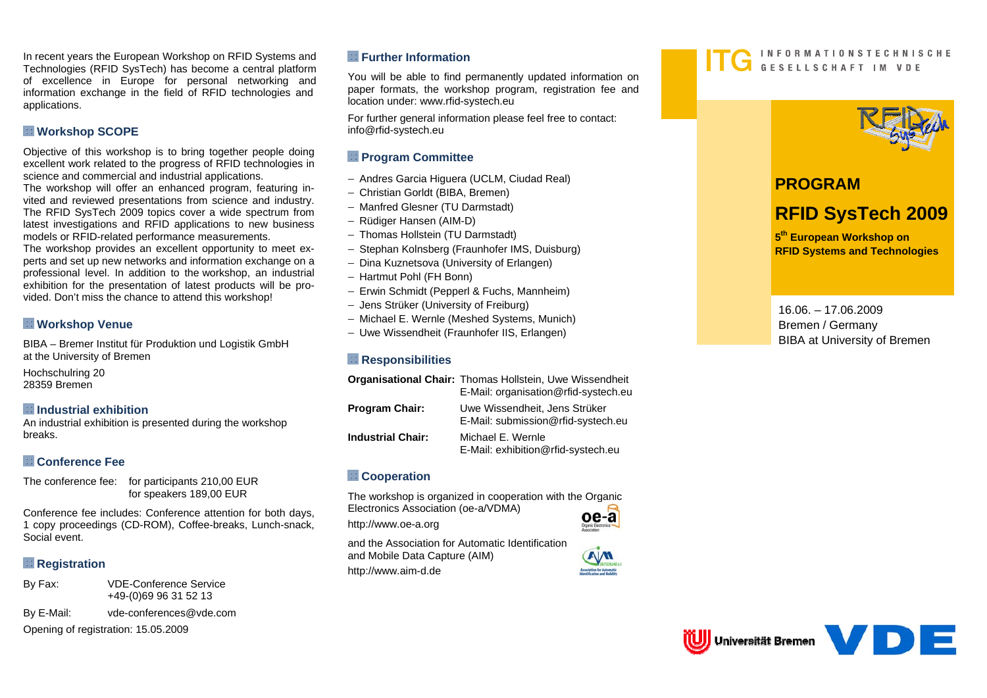In recent years the European Workshop on RFID Systems and Technologies (RFID SysTech) has become a central platform of excellence in Europe for personal networking and information exchange in the field of RFID technologies and applications.

### **Workshop SCOPE**

Objective of this workshop is to bring together people doing excellent work related to the progress of RFID technologies in science and commercial and industrial applications.

The workshop will offer an enhanced program, featuring invited and reviewed presentations from science and industry. The RFID SysTech 2009 topics cover a wide spectrum from latest investigations and RFID applications to new business models or RFID-related performance measurements.

The workshop provides an excellent opportunity to meet experts and set up new networks and information exchange on a professional level. In addition to the workshop, an industrial exhibition for the presentation of latest products will be provided. Don't miss the chance to attend this workshop!

# **Workshop Venue**

BIBA – Bremer Institut für Produktion und Logistik GmbH at the University of Bremen

Hochschulring 20 28359 Bremen

### **Industrial exhibition**

An industrial exhibition is presented during the workshop breaks.

# **Conference Fee**

The conference fee: for participants 210,00 EUR for speakers 189,00 EUR

Conference fee includes: Conference attention for both days, 1 copy proceedings (CD-ROM), Coffee-breaks, Lunch-snack, Social event.

# **Registration**

By Fax: VDE-Conference Service +49-(0)69 96 31 52 13 By E-Mail: vde-conferences@vde.com Opening of registration: 15.05.2009

### **Further Information**

You will be able to find permanently updated information on paper formats, the workshop program, registration fee and location under: www.rfid-systech.eu

For further general information please feel free to contact: info@rfid-systech.eu

## **Program Committee**

- − Andres Garcia Higuera (UCLM, Ciudad Real)
- − Christian Gorldt (BIBA, Bremen)
- − Manfred Glesner (TU Darmstadt)
- − Rüdiger Hansen (AIM-D)
- − Thomas Hollstein (TU Darmstadt)
- − Stephan Kolnsberg (Fraunhofer IMS, Duisburg)
- − Dina Kuznetsova (University of Erlangen)
- − Hartmut Pohl (FH Bonn)
- − Erwin Schmidt (Pepperl & Fuchs, Mannheim)
- − Jens Strüker (University of Freiburg)
- − Michael E. Wernle (Meshed Systems, Munich)
- − Uwe Wissendheit (Fraunhofer IIS, Erlangen)

### **Responsibilities**

|                          | Organisational Chair: Thomas Hollstein, Uwe Wissendheit<br>E-Mail: organisation@rfid-systech.eu |
|--------------------------|-------------------------------------------------------------------------------------------------|
| <b>Program Chair:</b>    | Uwe Wissendheit, Jens Strüker<br>E-Mail: submission@rfid-systech.eu                             |
| <b>Industrial Chair:</b> | Michael E. Wernle<br>E-Mail: exhibition@rfid-systech.eu                                         |

### **Cooperation**

The workshop is organized in cooperation with the Organic Electronics Association (oe-a/VDMA)

http://www.oe-a.org

oe-a

and the Association for Automatic Identification and Mobile Data Capture (AIM) http://www.aim-d.de





# **PROGRAM**

# **RFID SysTech 2009**

**<sup>5</sup>th European Workshop on RFID Systems and Technologies** 

16.06. – 17.06.2009 Bremen / Germany BIBA at University of Bremen